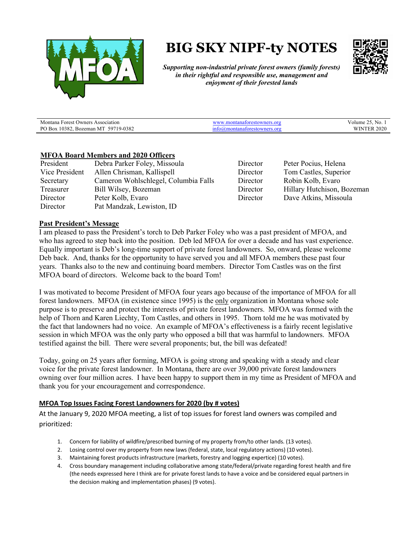

# **BIG SKY NIPF-ty NOTES**



*Supporting non-industrial private forest owners (family forests) in their rightful and responsible use, management and enjoyment of their forested lands*

| Montana Forest                                             | nei   | - No. .                           |
|------------------------------------------------------------|-------|-----------------------------------|
| Association                                                | 8.OI  | 'olume                            |
| Owners                                                     | пятог |                                   |
| '19-0382<br>PO Box<br>0382<br>597<br>NЛ.<br><b>Bozeman</b> | ``    | 2020<br><b>ITTD</b><br>WIN.<br>ER |

### **MFOA Board Members and 2020 Officers**

| President      | Debra Parker Foley, Missoula         |
|----------------|--------------------------------------|
| Vice President | Allen Chrisman, Kallispell           |
| Secretary      | Cameron Wohlschlegel, Columbia Falls |
| Treasurer      | Bill Wilsey, Bozeman                 |
| Director       | Peter Kolb, Evaro                    |
| Director       | Pat Mandzak, Lewiston, ID            |
|                |                                      |

Director Peter Pocius, Helena Director Tom Castles, Superior Director Robin Kolb, Evaro Director Hillary Hutchison, Bozeman Director Dave Atkins, Missoula

### **Past President's Message**

I am pleased to pass the President's torch to Deb Parker Foley who was a past president of MFOA, and who has agreed to step back into the position. Deb led MFOA for over a decade and has vast experience. Equally important is Deb's long-time support of private forest landowners. So, onward, please welcome Deb back. And, thanks for the opportunity to have served you and all MFOA members these past four years. Thanks also to the new and continuing board members. Director Tom Castles was on the first MFOA board of directors. Welcome back to the board Tom!

I was motivated to become President of MFOA four years ago because of the importance of MFOA for all forest landowners. MFOA (in existence since 1995) is the only organization in Montana whose sole purpose is to preserve and protect the interests of private forest landowners. MFOA was formed with the help of Thorn and Karen Liechty, Tom Castles, and others in 1995. Thorn told me he was motivated by the fact that landowners had no voice. An example of MFOA's effectiveness is a fairly recent legislative session in which MFOA was the only party who opposed a bill that was harmful to landowners. MFOA testified against the bill. There were several proponents; but, the bill was defeated!

Today, going on 25 years after forming, MFOA is going strong and speaking with a steady and clear voice for the private forest landowner. In Montana, there are over 39,000 private forest landowners owning over four million acres. I have been happy to support them in my time as President of MFOA and thank you for your encouragement and correspondence.

### **MFOA Top Issues Facing Forest Landowners for 2020 (by # votes)**

At the January 9, 2020 MFOA meeting, a list of top issues for forest land owners was compiled and prioritized:

- 1. Concern for liability of wildfire/prescribed burning of my property from/to other lands. (13 votes).
- 2. Losing control over my property from new laws (federal, state, local regulatory actions) (10 votes).
- 3. Maintaining forest products infrastructure (markets, forestry and logging expertice) (10 votes).
- 4. Cross boundary management including collaborative among state/federal/private regarding forest health and fire (the needs expressed here I think are for private forest lands to have a voice and be considered equal partners in the decision making and implementation phases) (9 votes).